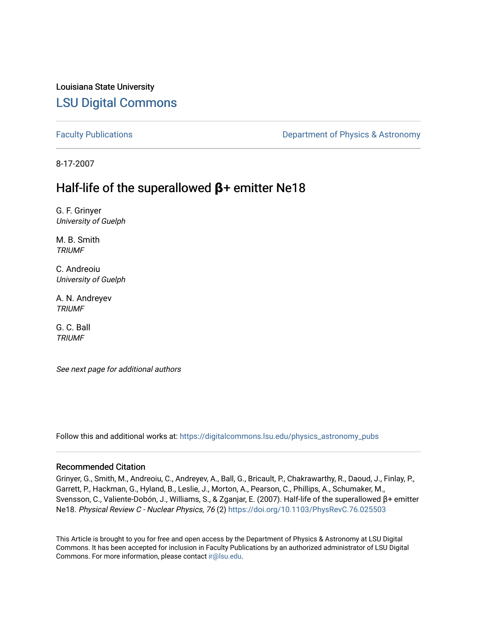# Louisiana State University [LSU Digital Commons](https://digitalcommons.lsu.edu/)

[Faculty Publications](https://digitalcommons.lsu.edu/physics_astronomy_pubs) **Exercise 2 and Table 2 and Table 2 and Table 2 and Table 2 and Table 2 and Table 2 and Table 2 and Table 2 and Table 2 and Table 2 and Table 2 and Table 2 and Table 2 and Table 2 and Table 2 and Table** 

8-17-2007

# Half-life of the superallowed **β**+ emitter Ne18

G. F. Grinyer University of Guelph

M. B. Smith TRIUMF

C. Andreoiu University of Guelph

A. N. Andreyev **TRIUMF** 

G. C. Ball **TRIUMF** 

See next page for additional authors

Follow this and additional works at: [https://digitalcommons.lsu.edu/physics\\_astronomy\\_pubs](https://digitalcommons.lsu.edu/physics_astronomy_pubs?utm_source=digitalcommons.lsu.edu%2Fphysics_astronomy_pubs%2F6115&utm_medium=PDF&utm_campaign=PDFCoverPages) 

# Recommended Citation

Grinyer, G., Smith, M., Andreoiu, C., Andreyev, A., Ball, G., Bricault, P., Chakrawarthy, R., Daoud, J., Finlay, P., Garrett, P., Hackman, G., Hyland, B., Leslie, J., Morton, A., Pearson, C., Phillips, A., Schumaker, M., Svensson, C., Valiente-Dobón, J., Williams, S., & Zganjar, E. (2007). Half-life of the superallowed β+ emitter Ne18. Physical Review C - Nuclear Physics, 76 (2)<https://doi.org/10.1103/PhysRevC.76.025503>

This Article is brought to you for free and open access by the Department of Physics & Astronomy at LSU Digital Commons. It has been accepted for inclusion in Faculty Publications by an authorized administrator of LSU Digital Commons. For more information, please contact [ir@lsu.edu](mailto:ir@lsu.edu).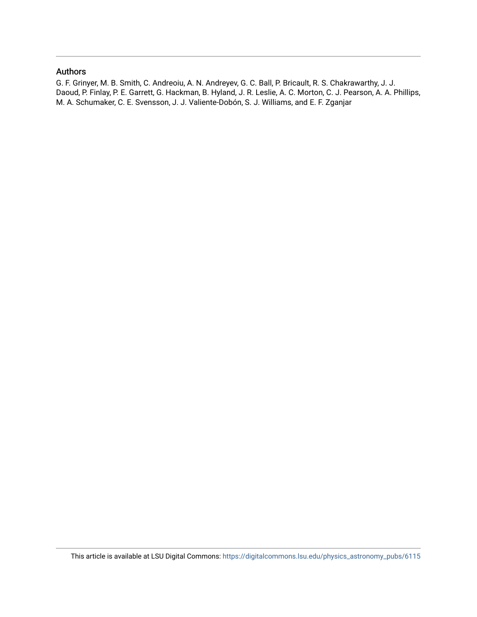# Authors

G. F. Grinyer, M. B. Smith, C. Andreoiu, A. N. Andreyev, G. C. Ball, P. Bricault, R. S. Chakrawarthy, J. J. Daoud, P. Finlay, P. E. Garrett, G. Hackman, B. Hyland, J. R. Leslie, A. C. Morton, C. J. Pearson, A. A. Phillips, M. A. Schumaker, C. E. Svensson, J. J. Valiente-Dobón, S. J. Williams, and E. F. Zganjar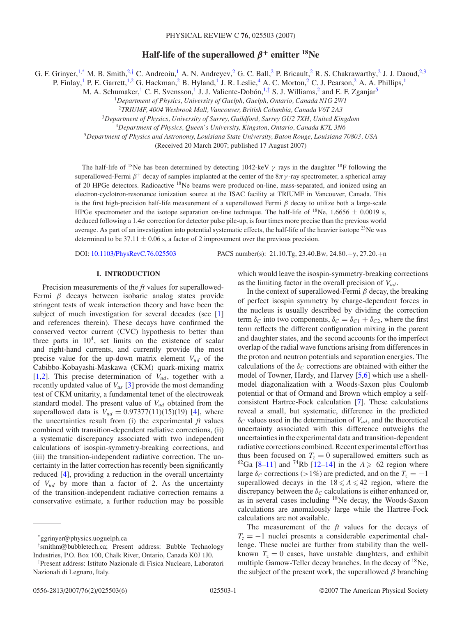# **Half-life of the superallowed**  $\beta$ <sup>+</sup> **emitter** <sup>18</sup>Ne

G. F. Grinyer,<sup>1,\*</sup> M. B. Smith,<sup>2,†</sup> C. Andreoiu,<sup>1</sup> A. N. Andreyev,<sup>2</sup> G. C. Ball,<sup>2</sup> P. Bricault,<sup>2</sup> R. S. Chakrawarthy,<sup>2</sup> J. J. Daoud,<sup>2,3</sup>

P. Finlay,<sup>1</sup> P. E. Garrett,<sup>1,2</sup> G. Hackman,<sup>2</sup> B. Hyland,<sup>1</sup> J. R. Leslie,<sup>4</sup> A. C. Morton,<sup>2</sup> C. J. Pearson,<sup>2</sup> A. A. Phillips,<sup>1</sup>

M. A. Schumaker,<sup>1</sup> C. E. Svensson,<sup>1</sup> J. J. Valiente-Dobón, <sup>1,‡</sup> S. J. Williams,<sup>2</sup> and E. F. Zganjar<sup>5</sup>

<sup>1</sup>*Department of Physics, University of Guelph, Guelph, Ontario, Canada N1G 2W1*

<sup>2</sup>*TRIUMF, 4004 Wesbrook Mall, Vancouver, British Columbia, Canada V6T 2A3*

<sup>3</sup>*Department of Physics, University of Surrey, Guildford, Surrey GU2 7XH, United Kingdom*

<sup>4</sup>*Department of Physics, Queen's University, Kingston, Ontario, Canada K7L 3N6*

<sup>5</sup>*Department of Physics and Astronomy, Louisiana State University, Baton Rouge, Louisiana 70803, USA*

(Received 20 March 2007; published 17 August 2007)

The half-life of <sup>18</sup>Ne has been determined by detecting 1042-keV  $\gamma$  rays in the daughter <sup>18</sup>F following the superallowed-Fermi *β*<sup>+</sup> decay of samples implanted at the center of the 8*π γ* -ray spectrometer, a spherical array of 20 HPGe detectors. Radioactive 18Ne beams were produced on-line, mass-separated, and ionized using an electron-cyclotron-resonance ionization source at the ISAC facility at TRIUMF in Vancouver, Canada. This is the first high-precision half-life measurement of a superallowed Fermi *β* decay to utilize both a large-scale HPGe spectrometer and the isotope separation on-line technique. The half-life of <sup>18</sup>Ne, 1.6656  $\pm$  0.0019 s, deduced following a 1.4*σ* correction for detector pulse pile-up, is four times more precise than the previous world average. As part of an investigation into potential systematic effects, the half-life of the heavier isotope <sup>23</sup>Ne was determined to be  $37.11 \pm 0.06$  s, a factor of 2 improvement over the previous precision.

DOI: [10.1103/PhysRevC.76.025503](http://dx.doi.org/10.1103/PhysRevC.76.025503) PACS number(s): 21*.*10*.*Tg, 23*.*40*.*Bw, 24*.*80*.*+y, 27*.*20*.*+n

# **I. INTRODUCTION**

Precision measurements of the *ft* values for superallowed-Fermi *β* decays between isobaric analog states provide stringent tests of weak interaction theory and have been the subject of much investigation for several decades (see [\[1\]](#page-6-0) and references therein). These decays have confirmed the conserved vector current (CVC) hypothesis to better than three parts in  $10<sup>4</sup>$ , set limits on the existence of scalar and right-hand currents, and currently provide the most precise value for the up-down matrix element *Vud* of the Cabibbo-Kobayashi-Maskawa (CKM) quark-mixing matrix [\[1,2\]](#page-6-0). This precise determination of  $V_{ud}$ , together with a recently updated value of *Vus* [\[3\]](#page-6-0) provide the most demanding test of CKM unitarity, a fundamental tenet of the electroweak standard model. The present value of  $V_{ud}$  obtained from the superallowed data is  $V_{ud} = 0.97377(11)(15)(19)$  [\[4\]](#page-6-0), where the uncertainties result from (i) the experimental *ft* values combined with transition-dependent radiative corrections, (ii) a systematic discrepancy associated with two independent calculations of isospin-symmetry-breaking corrections, and (iii) the transition-independent radiative correction. The uncertainty in the latter correction has recently been significantly reduced [\[4\]](#page-6-0), providing a reduction in the overall uncertainty of *Vud* by more than a factor of 2. As the uncertainty of the transition-independent radiative correction remains a conservative estimate, a further reduction may be possible

as the limiting factor in the overall precision of *Vud* . In the context of superallowed-Fermi *β* decay, the breaking

which would leave the isospin-symmetry-breaking corrections

of perfect isospin symmetry by charge-dependent forces in the nucleus is usually described by dividing the correction term  $\delta_C$  into two components,  $\delta_C = \delta_{C1} + \delta_{C2}$ , where the first term reflects the different configuration mixing in the parent and daughter states, and the second accounts for the imperfect overlap of the radial wave functions arising from differences in the proton and neutron potentials and separation energies. The calculations of the  $\delta_C$  corrections are obtained with either the model of Towner, Hardy, and Harvey [\[5,6\]](#page-6-0) which use a shellmodel diagonalization with a Woods-Saxon plus Coulomb potential or that of Ormand and Brown which employ a selfconsistent Hartree-Fock calculation [\[7\]](#page-6-0). These calculations reveal a small, but systematic, difference in the predicted  $\delta_C$  values used in the determination of  $V_{ud}$ , and the theoretical uncertainty associated with this difference outweighs the uncertainties in the experimental data and transition-dependent radiative corrections combined. Recent experimental effort has thus been focused on  $T_z = 0$  superallowed emitters such as <sup>62</sup>Ga [\[8–11\]](#page-6-0) and <sup>74</sup>Rb [\[12–14\]](#page-6-0) in the  $A \ge 62$  region where large  $\delta_C$  corrections (>1%) are predicted, and on the  $T_z = -1$ superallowed decays in the  $18 \le A \le 42$  region, where the discrepancy between the  $\delta_C$  calculations is either enhanced or, as in several cases including 18Ne decay, the Woods-Saxon calculations are anomalously large while the Hartree-Fock calculations are not available.

The measurement of the *ft* values for the decays of  $T<sub>z</sub> = -1$  nuclei presents a considerable experimental challenge. These nuclei are further from stability than the wellknown  $T_z = 0$  cases, have unstable daughters, and exhibit multiple Gamow-Teller decay branches. In the decay of  $^{18}$ Ne, the subject of the present work, the superallowed *β* branching

<sup>\*</sup>ggrinyer@physics.uoguelph.ca

<sup>†</sup> smithm@bubbletech.ca; Present address: Bubble Technology Industries, P.O. Box 100, Chalk River, Ontario, Canada K0J 1J0.

<sup>‡</sup> Present address: Istituto Nazionale di Fisica Nucleare, Laboratori Nazionali di Legnaro, Italy.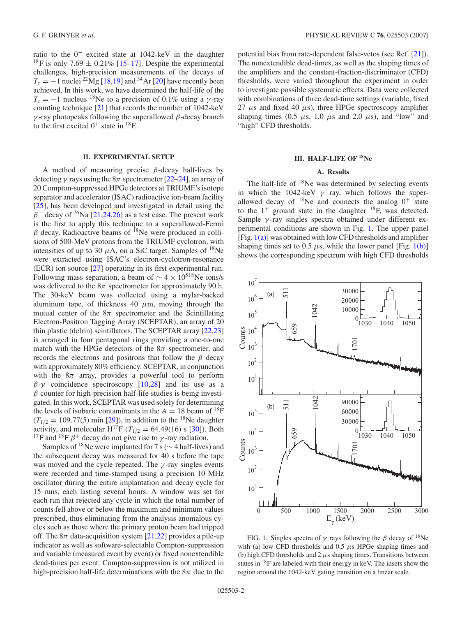ratio to the  $0^+$  excited state at 1042-keV in the daughter <sup>18</sup>F is only 7.69  $\pm$  0.21% [\[15–17\]](#page-6-0). Despite the experimental challenges, high-precision measurements of the decays of  $T_z = -1$  nuclei <sup>22</sup>Mg [\[18,19\]](#page-6-0) and <sup>34</sup>Ar [\[20\]](#page-6-0) have recently been achieved. In this work, we have determined the half-life of the  $T_z = -1$  nucleus <sup>18</sup>Ne to a precision of 0.1% using a *γ*-ray counting technique [\[21\]](#page-7-0) that records the number of 1042-keV *γ* -ray photopeaks following the superallowed *β*-decay branch to the first excited  $0^+$  state in <sup>18</sup>F.

### **II. EXPERIMENTAL SETUP**

A method of measuring precise *β*-decay half-lives by detecting  $\gamma$  rays using the  $8\pi$  spectrometer [\[22–24\]](#page-7-0), an array of 20 Compton-suppressed HPGe detectors at TRIUMF's isotope separator and accelerator (ISAC) radioactive ion-beam facility [\[25\]](#page-7-0), has been developed and investigated in detail using the  $\beta$ <sup>−</sup> decay of <sup>26</sup>Na [\[21,24,26\]](#page-7-0) as a test case. The present work is the first to apply this technique to a superallowed-Fermi  $\beta$  decay. Radioactive beams of <sup>18</sup>Ne were produced in collisions of 500-MeV protons from the TRIUMF cyclotron, with intensities of up to 30  $\mu$ A, on a SiC target. Samples of <sup>18</sup>Ne were extracted using ISAC's electron-cyclotron-resonance (ECR) ion source [\[27\]](#page-7-0) operating in its first experimental run. Following mass separation, a beam of  $\sim$  4 × 10<sup>518</sup>Ne ions/s was delivered to the  $8\pi$  spectrometer for approximately 90 h. The 30-keV beam was collected using a mylar-backed aluminum tape, of thickness  $40 \mu m$ , moving through the mutual center of the  $8\pi$  spectrometer and the Scintillating Electron-Positron Tagging Array (SCEPTAR), an array of 20 thin plastic (delrin) scintillators. The SCEPTAR array [\[22,23\]](#page-7-0) is arranged in four pentagonal rings providing a one-to-one match with the HPGe detectors of the  $8\pi$  spectrometer, and records the electrons and positrons that follow the *β* decay with approximately 80% efficiency. SCEPTAR, in conjunction with the  $8\pi$  array, provides a powerful tool to perform  $β-y$  coincidence spectroscopy [\[10](#page-6-0)[,28\]](#page-7-0) and its use as a  $\beta$  counter for high-precision half-life studies is being investigated. In this work, SCEPTAR was used solely for determining the levels of isobaric contaminants in the  $A = 18$  beam of <sup>18</sup>F  $(T_{1/2} = 109.77(5)$  min [\[29\]](#page-7-0)), in addition to the <sup>18</sup>Ne daughter activity, and molecular  $H^{17}F (T_{1/2} = 64.49(16)$  s [\[30\]](#page-7-0)). Both <sup>17</sup>F and <sup>18</sup>F  $\beta$ <sup>+</sup> decay do not give rise to *γ*-ray radiation.

Samples of <sup>18</sup>Ne were implanted for 7 s ( $\sim$  4 half-lives) and the subsequent decay was measured for 40 s before the tape was moved and the cycle repeated. The *γ* -ray singles events were recorded and time-stamped using a precision 10 MHz oscillator during the entire implantation and decay cycle for 15 runs, each lasting several hours. A window was set for each run that rejected any cycle in which the total number of counts fell above or below the maximum and minimum values prescribed, thus eliminating from the analysis anomalous cycles such as those where the primary proton beam had tripped off. The  $8\pi$  data-acquisition system [\[21,22\]](#page-7-0) provides a pile-up indicator as well as software-selectable Compton-suppression and variable (measured event by event) or fixed nonextendible dead-times per event. Compton-suppression is not utilized in high-precision half-life determinations with the 8*π* due to the

potential bias from rate-dependent false-vetos (see Ref. [\[21\]](#page-7-0)). The nonextendible dead-times, as well as the shaping times of the amplifiers and the constant-fraction-discriminator (CFD) thresholds, were varied throughout the experiment in order to investigate possible systematic effects. Data were collected with combinations of three dead-time settings (variable, fixed 27  $\mu$ s and fixed 40  $\mu$ s), three HPGe spectroscopy amplifier shaping times (0.5  $\mu$ s, 1.0  $\mu$ s and 2.0  $\mu$ s), and "low" and "high" CFD thresholds.

## **III. HALF-LIFE OF 18Ne**

## **A. Results**

The half-life of  $18$ Ne was determined by selecting events in which the 1042-keV  $\gamma$  ray, which follows the superallowed decay of  $18$ Ne and connects the analog  $0^+$  state to the  $1^+$  ground state in the daughter  $^{18}$ F, was detected. Sample *γ* -ray singles spectra obtained under different experimental conditions are shown in Fig. 1. The upper panel [Fig.  $1(a)$ ] was obtained with low CFD thresholds and amplifier shaping times set to 0.5  $\mu$ s, while the lower panel [Fig. 1(b)] shows the corresponding spectrum with high CFD thresholds



FIG. 1. Singles spectra of  $\gamma$  rays following the  $\beta$  decay of <sup>18</sup>Ne with (a) low CFD thresholds and 0.5 *µ*s HPGe shaping times and (b) high CFD thresholds and 2 *µ*s shaping times. Transitions between states in  $^{18}$ F are labeled with their energy in keV. The insets show the region around the 1042-keV gating transition on a linear scale.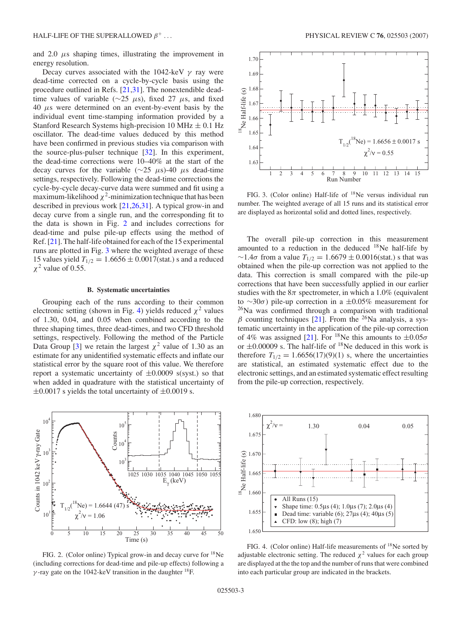<span id="page-4-0"></span>and  $2.0 \mu s$  shaping times, illustrating the improvement in energy resolution.

Decay curves associated with the 1042-keV *γ* ray were dead-time corrected on a cycle-by-cycle basis using the procedure outlined in Refs. [\[21,31\]](#page-7-0). The nonextendible deadtime values of variable (∼25 *µ*s), fixed 27 *µ*s, and fixed 40 *µ*s were determined on an event-by-event basis by the individual event time-stamping information provided by a Stanford Research Systems high-precision 10 MHz  $\pm$  0.1 Hz oscillator. The dead-time values deduced by this method have been confirmed in previous studies via comparison with the source-plus-pulser technique [\[32\]](#page-7-0). In this experiment, the dead-time corrections were 10–40% at the start of the decay curves for the variable (∼25 *µ*s)-40 *µ*s dead-time settings, respectively. Following the dead-time corrections the cycle-by-cycle decay-curve data were summed and fit using a maximum-likelihood  $\chi^2$ -minimization technique that has been described in previous work [\[21,26,31\]](#page-7-0). A typical grow-in and decay curve from a single run, and the corresponding fit to the data is shown in Fig. 2 and includes corrections for dead-time and pulse pile-up effects using the method of Ref. [\[21\]](#page-7-0). The half-life obtained for each of the 15 experimental runs are plotted in Fig. 3 where the weighted average of these 15 values yield  $T_{1/2} = 1.6656 \pm 0.0017$  (stat.) s and a reduced *χ*<sup>2</sup> value of 0.55.

#### **B. Systematic uncertainties**

Grouping each of the runs according to their common electronic setting (shown in Fig. 4) yields reduced  $\chi^2$  values of 1.30, 0.04, and 0.05 when combined according to the three shaping times, three dead-times, and two CFD threshold settings, respectively. Following the method of the Particle Data Group [\[3\]](#page-6-0) we retain the largest  $\chi^2$  value of 1.30 as an estimate for any unidentified systematic effects and inflate our statistical error by the square root of this value. We therefore report a systematic uncertainty of  $\pm 0.0009$  s(syst.) so that when added in quadrature with the statistical uncertainty of  $\pm 0.0017$  s yields the total uncertainty of  $\pm 0.0019$  s.



FIG. 2. (Color online) Typical grow-in and decay curve for 18Ne (including corrections for dead-time and pile-up effects) following a *γ* -ray gate on the 1042-keV transition in the daughter  ${}^{18}$ F.



FIG. 3. (Color online) Half-life of <sup>18</sup>Ne versus individual run number. The weighted average of all 15 runs and its statistical error are displayed as horizontal solid and dotted lines, respectively.

The overall pile-up correction in this measurement amounted to a reduction in the deduced  $18$ Ne half-life by ∼1.4*σ* from a value *T*1*/*<sup>2</sup> = 1*.*6679 ± 0*.*0016(stat.) s that was obtained when the pile-up correction was not applied to the data. This correction is small compared with the pile-up corrections that have been successfully applied in our earlier studies with the  $8\pi$  spectrometer, in which a 1.0% (equivalent to ∼30*σ*) pile-up correction in a ±0.05% measurement for  $^{26}$ Na was confirmed through a comparison with traditional  $\beta$  counting techniques [\[21\]](#page-7-0). From the <sup>26</sup>Na analysis, a systematic uncertainty in the application of the pile-up correction of 4% was assigned [\[21\]](#page-7-0). For <sup>18</sup>Ne this amounts to  $\pm 0.05\sigma$ or  $\pm 0.00009$  s. The half-life of <sup>18</sup>Ne deduced in this work is therefore  $T_{1/2} = 1.6656(17)(9)(1)$  s, where the uncertainties are statistical, an estimated systematic effect due to the electronic settings, and an estimated systematic effect resulting from the pile-up correction, respectively.



FIG. 4. (Color online) Half-life measurements of 18Ne sorted by adjustable electronic setting. The reduced  $\chi^2$  values for each group are displayed at the the top and the number of runs that were combined into each particular group are indicated in the brackets.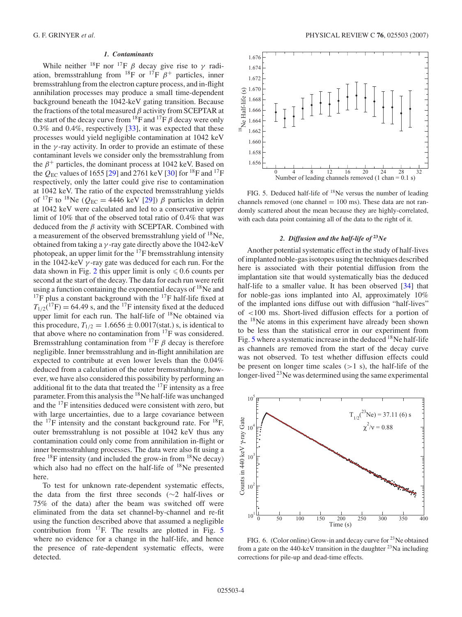#### *1. Contaminants*

<span id="page-5-0"></span>While neither <sup>18</sup>F nor <sup>17</sup>F  $\beta$  decay give rise to  $\gamma$  radiation, bremsstrahlung from <sup>18</sup>F or <sup>17</sup>F  $\beta$ <sup>+</sup> particles, inner bremsstrahlung from the electron capture process, and in-flight annihilation processes may produce a small time-dependent background beneath the 1042-keV gating transition. Because the fractions of the total measured *β* activity from SCEPTAR at the start of the decay curve from  $^{18}$ F and  $^{17}$ F  $\beta$  decay were only 0.3% and 0.4%, respectively [\[33\]](#page-7-0), it was expected that these processes would yield negligible contamination at 1042 keV in the *γ* -ray activity. In order to provide an estimate of these contaminant levels we consider only the bremsstrahlung from the  $\beta^+$  particles, the dominant process at 1042 keV. Based on the  $Q_{EC}$  values of 1655 [\[29\]](#page-7-0) and 2761 keV [\[30\]](#page-7-0) for <sup>18</sup>F and <sup>17</sup>F respectively, only the latter could give rise to contamination at 1042 keV. The ratio of the expected bremsstrahlung yields of <sup>17</sup>F to <sup>18</sup>Ne ( $Q_{EC}$  = 4446 keV [\[29\]](#page-7-0))  $\beta$  particles in delrin at 1042 keV were calculated and led to a conservative upper limit of 10% that of the observed total ratio of 0.4% that was deduced from the *β* activity with SCEPTAR. Combined with a measurement of the observed bremsstrahlung yield of 18Ne, obtained from taking a *γ* -ray gate directly above the 1042-keV photopeak, an upper limit for the  $^{17}$ F bremsstrahlung intensity in the 1042-keV *γ* -ray gate was deduced for each run. For the data shown in Fig. [2](#page-4-0) this upper limit is only  $\leq 0.6$  counts per second at the start of the decay. The data for each run were refit using a function containing the exponential decays of  $^{18}$ Ne and  $17F$  plus a constant background with the  $17F$  half-life fixed at  $T_{1/2}$ <sup>(17</sup>F) = 64.49 s, and the <sup>17</sup>F intensity fixed at the deduced upper limit for each run. The half-life of <sup>18</sup>Ne obtained via this procedure,  $T_{1/2} = 1.6656 \pm 0.0017$  (stat.) s, is identical to that above where no contamination from 17F was considered. Bremsstrahlung contamination from  ${}^{17}F$   $\beta$  decay is therefore negligible. Inner bremsstrahlung and in-flight annihilation are expected to contribute at even lower levels than the 0.04% deduced from a calculation of the outer bremsstrahlung, however, we have also considered this possibility by performing an additional fit to the data that treated the  $^{17}$ F intensity as a free parameter. From this analysis the 18Ne half-life was unchanged and the 17F intensities deduced were consistent with zero, but with large uncertainties, due to a large covariance between the  $^{17}F$  intensity and the constant background rate. For  $^{18}F$ , outer bremsstrahlung is not possible at 1042 keV thus any contamination could only come from annihilation in-flight or inner bremsstrahlung processes. The data were also fit using a free  $^{18}$ F intensity (and included the grow-in from  $^{18}$ Ne decay) which also had no effect on the half-life of <sup>18</sup>Ne presented here.

To test for unknown rate-dependent systematic effects, the data from the first three seconds (∼2 half-lives or 75% of the data) after the beam was switched off were eliminated from the data set channel-by-channel and re-fit using the function described above that assumed a negligible contribution from  $^{17}$ F. The results are plotted in Fig. 5 where no evidence for a change in the half-life, and hence the presence of rate-dependent systematic effects, were detected.



FIG. 5. Deduced half-life of  $^{18}$ Ne versus the number of leading channels removed (one channel  $= 100$  ms). These data are not randomly scattered about the mean because they are highly-correlated, with each data point containing all of the data to the right of it.

#### *2. Diffusion and the half-life of* **<sup>23</sup>***Ne*

Another potential systematic effect in the study of half-lives of implanted noble-gas isotopes using the techniques described here is associated with their potential diffusion from the implantation site that would systematically bias the deduced half-life to a smaller value. It has been observed [\[34\]](#page-7-0) that for noble-gas ions implanted into Al, approximately 10% of the implanted ions diffuse out with diffusion "half-lives" of *<*100 ms. Short-lived diffusion effects for a portion of the 18Ne atoms in this experiment have already been shown to be less than the statistical error in our experiment from Fig. 5 where a systematic increase in the deduced  $^{18}$ Ne half-life as channels are removed from the start of the decay curve was not observed. To test whether diffusion effects could be present on longer time scales (*>*1 s), the half-life of the longer-lived  $^{23}$ Ne was determined using the same experimental



FIG. 6. (Color online) Grow-in and decay curve for <sup>23</sup>Ne obtained from a gate on the 440-keV transition in the daughter  $^{23}$ Na including corrections for pile-up and dead-time effects.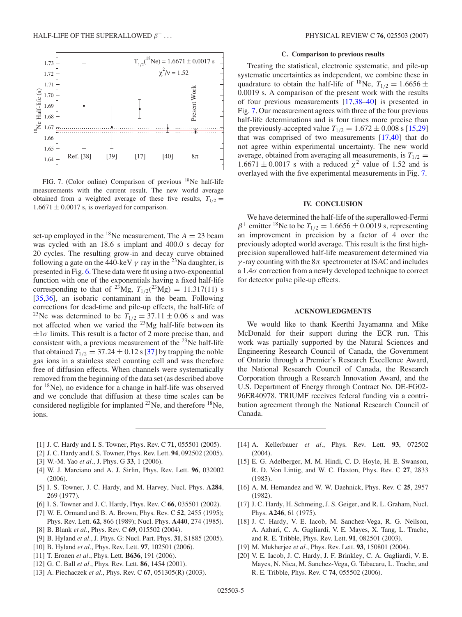<span id="page-6-0"></span>

FIG. 7. (Color online) Comparison of previous <sup>18</sup>Ne half-life measurements with the current result. The new world average obtained from a weighted average of these five results,  $T_{1/2}$  =  $1.6671 \pm 0.0017$  s, is overlayed for comparison.

set-up employed in the <sup>18</sup>Ne measurement. The  $A = 23$  beam was cycled with an 18.6 s implant and 400.0 s decay for 20 cycles. The resulting grow-in and decay curve obtained following a gate on the 440-keV  $\gamma$  ray in the <sup>23</sup>Na daughter, is presented in Fig. [6.](#page-5-0) These data were fit using a two-exponential function with one of the exponentials having a fixed half-life corresponding to that of <sup>23</sup>Mg,  $T_{1/2}$ (<sup>23</sup>Mg) = 11.317(11) s [\[35,36\]](#page-7-0), an isobaric contaminant in the beam. Following corrections for dead-time and pile-up effects, the half-life of <sup>23</sup>Ne was determined to be  $T_{1/2} = 37.11 \pm 0.06$  s and was not affected when we varied the  $^{23}Mg$  half-life between its  $\pm 1\sigma$  limits. This result is a factor of 2 more precise than, and consistent with, a previous measurement of the  $^{23}$ Ne half-life that obtained  $T_{1/2} = 37.24 \pm 0.12$  s [\[37\]](#page-7-0) by trapping the noble gas ions in a stainless steel counting cell and was therefore free of diffusion effects. When channels were systematically removed from the beginning of the data set (as described above for  $18$ Ne), no evidence for a change in half-life was observed and we conclude that diffusion at these time scales can be considered negligible for implanted <sup>23</sup>Ne, and therefore <sup>18</sup>Ne, ions.

## **C. Comparison to previous results**

Treating the statistical, electronic systematic, and pile-up systematic uncertainties as independent, we combine these in quadrature to obtain the half-life of <sup>18</sup>Ne,  $T_{1/2} = 1.6656 \pm$ 0*.*0019 s. A comparison of the present work with the results of four previous measurements [17[,38–40\]](#page-7-0) is presented in Fig. 7. Our measurement agrees with three of the four previous half-life determinations and is four times more precise than the previously-accepted value  $T_{1/2} = 1.672 \pm 0.008$  s [15[,29\]](#page-7-0) that was comprised of two measurements [17[,40\]](#page-7-0) that do not agree within experimental uncertainty. The new world average, obtained from averaging all measurements, is  $T_{1/2}$  =  $1.6671 \pm 0.0017$  s with a reduced  $\chi^2$  value of 1.52 and is overlayed with the five experimental measurements in Fig. 7.

#### **IV. CONCLUSION**

We have determined the half-life of the superallowed-Fermi  $\beta^+$  emitter <sup>18</sup>Ne to be  $T_{1/2} = 1.6656 \pm 0.0019$  s, representing an improvement in precision by a factor of 4 over the previously adopted world average. This result is the first highprecision superallowed half-life measurement determined via *γ* -ray counting with the 8*π* spectrometer at ISAC and includes a 1.4*σ* correction from a newly developed technique to correct for detector pulse pile-up effects.

### **ACKNOWLEDGMENTS**

We would like to thank Keerthi Jayamanna and Mike McDonald for their support during the ECR run. This work was partially supported by the Natural Sciences and Engineering Research Council of Canada, the Government of Ontario through a Premier's Research Excellence Award, the National Research Council of Canada, the Research Corporation through a Research Innovation Award, and the U.S. Department of Energy through Contract No. DE-FG02- 96ER40978. TRIUMF receives federal funding via a contribution agreement through the National Research Council of Canada.

- [1] J. C. Hardy and I. S. Towner, Phys. Rev. C **71**, 055501 (2005).
- [2] J. C. Hardy and I. S. Towner, Phys. Rev. Lett. **94**, 092502 (2005).
- [3] W.-M. Yao *et al.*, J. Phys. G **33**, 1 (2006).
- [4] W. J. Marciano and A. J. Sirlin, Phys. Rev. Lett. **96**, 032002 (2006).
- [5] I. S. Towner, J. C. Hardy, and M. Harvey, Nucl. Phys. **A284**, 269 (1977).
- [6] I. S. Towner and J. C. Hardy, Phys. Rev. C **66**, 035501 (2002).
- [7] W. E. Ormand and B. A. Brown, Phys. Rev. C **52**, 2455 (1995); Phys. Rev. Lett. **62**, 866 (1989); Nucl. Phys. **A440**, 274 (1985).
- [8] B. Blank *et al.*, Phys. Rev. C **69**, 015502 (2004).
- [9] B. Hyland *et al.*, J. Phys. G: Nucl. Part. Phys. **31**, S1885 (2005).
- [10] B. Hyland *et al.*, Phys. Rev. Lett. **97**, 102501 (2006).
- [11] T. Eronen *et al.*, Phys. Lett. **B636**, 191 (2006).
- [12] G. C. Ball *et al.*, Phys. Rev. Lett. **86**, 1454 (2001).
- [13] A. Piechaczek *et al.*, Phys. Rev. C **67**, 051305(R) (2003).
- [14] A. Kellerbauer *et al.*, Phys. Rev. Lett. **93**, 072502 (2004).
- [15] E. G. Adelberger, M. M. Hindi, C. D. Hoyle, H. E. Swanson, R. D. Von Lintig, and W. C. Haxton, Phys. Rev. C **27**, 2833 (1983).
- [16] A. M. Hernandez and W. W. Daehnick, Phys. Rev. C **25**, 2957 (1982).
- [17] J. C. Hardy, H. Schmeing, J. S. Geiger, and R. L. Graham, Nucl. Phys. **A246**, 61 (1975).
- [18] J. C. Hardy, V. E. Iacob, M. Sanchez-Vega, R. G. Neilson, A. Azhari, C. A. Gagliardi, V. E. Mayes, X. Tang, L. Trache, and R. E. Tribble, Phys. Rev. Lett. **91**, 082501 (2003).
- [19] M. Mukherjee *et al.*, Phys. Rev. Lett. **93**, 150801 (2004).
- [20] V. E. Iacob, J. C. Hardy, J. F. Brinkley, C. A. Gagliardi, V. E. Mayes, N. Nica, M. Sanchez-Vega, G. Tabacaru, L. Trache, and R. E. Tribble, Phys. Rev. C **74**, 055502 (2006).